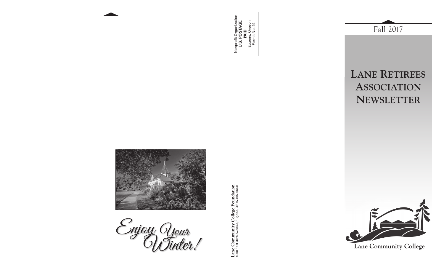



Enjoy Cnjoy Your<br>''OUTinter!

Lane Community College Foundation<br>4000 East 30th Avenue, Eugene, OR 97405-0640 **Lane Community College Foundation** 4000 East 30th Avenue, Eugene, OR 97405-0640



Fall 2017



**Lane Community College**